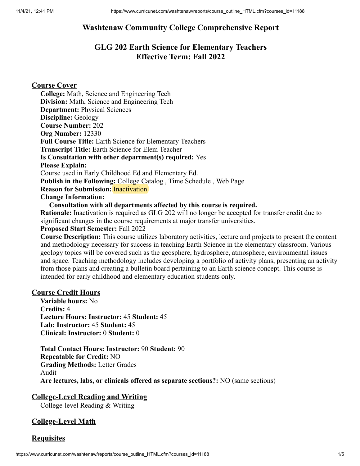# **Washtenaw Community College Comprehensive Report**

# **GLG 202 Earth Science for Elementary Teachers Effective Term: Fall 2022**

# **Course Cover**

**College:** Math, Science and Engineering Tech **Division:** Math, Science and Engineering Tech **Department:** Physical Sciences **Discipline:** Geology **Course Number:** 202 **Org Number:** 12330 **Full Course Title:** Earth Science for Elementary Teachers **Transcript Title:** Earth Science for Elem Teacher **Is Consultation with other department(s) required:** Yes **Please Explain:** Course used in Early Childhood Ed and Elementary Ed. **Publish in the Following:** College Catalog , Time Schedule , Web Page **Reason for Submission:** Inactivation **Change Information:**

**Consultation with all departments affected by this course is required.**

**Rationale:** Inactivation is required as GLG 202 will no longer be accepted for transfer credit due to significant changes in the course requirements at major transfer universities.

### **Proposed Start Semester:** Fall 2022

**Course Description:** This course utilizes laboratory activities, lecture and projects to present the content and methodology necessary for success in teaching Earth Science in the elementary classroom. Various geology topics will be covered such as the geosphere, hydrosphere, atmosphere, environmental issues and space. Teaching methodology includes developing a portfolio of activity plans, presenting an activity from those plans and creating a bulletin board pertaining to an Earth science concept. This course is intended for early childhood and elementary education students only.

## **Course Credit Hours**

**Variable hours:** No **Credits:** 4 **Lecture Hours: Instructor:** 45 **Student:** 45 **Lab: Instructor:** 45 **Student:** 45 **Clinical: Instructor:** 0 **Student:** 0

**Total Contact Hours: Instructor:** 90 **Student:** 90 **Repeatable for Credit:** NO **Grading Methods:** Letter Grades Audit **Are lectures, labs, or clinicals offered as separate sections?:** NO (same sections)

# **College-Level Reading and Writing**

College-level Reading & Writing

# **College-Level Math**

# **Requisites**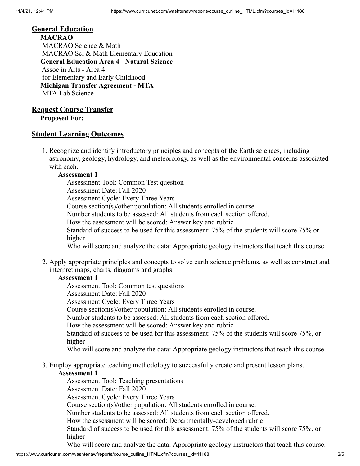#### **General Education**

**MACRAO** MACRAO Science & Math MACRAO Sci & Math Elementary Education **General Education Area 4 - Natural Science** Assoc in Arts - Area 4 for Elementary and Early Childhood **Michigan Transfer Agreement - MTA** MTA Lab Science

# **Request Course Transfer**

**Proposed For:**

## **Student Learning Outcomes**

1. Recognize and identify introductory principles and concepts of the Earth sciences, including astronomy, geology, hydrology, and meteorology, as well as the environmental concerns associated with each.

### **Assessment 1**

Assessment Tool: Common Test question Assessment Date: Fall 2020 Assessment Cycle: Every Three Years Course section(s)/other population: All students enrolled in course. Number students to be assessed: All students from each section offered. How the assessment will be scored: Answer key and rubric Standard of success to be used for this assessment: 75% of the students will score 75% or higher Who will score and analyze the data: Appropriate geology instructors that teach this course.

2. Apply appropriate principles and concepts to solve earth science problems, as well as construct and interpret maps, charts, diagrams and graphs.

# **Assessment 1**

Assessment Tool: Common test questions

Assessment Date: Fall 2020

Assessment Cycle: Every Three Years

Course section(s)/other population: All students enrolled in course.

Number students to be assessed: All students from each section offered.

How the assessment will be scored: Answer key and rubric

Standard of success to be used for this assessment: 75% of the students will score 75%, or higher

Who will score and analyze the data: Appropriate geology instructors that teach this course.

3. Employ appropriate teaching methodology to successfully create and present lesson plans.

## **Assessment 1**

Assessment Tool: Teaching presentations

Assessment Date: Fall 2020

Assessment Cycle: Every Three Years

Course section(s)/other population: All students enrolled in course.

Number students to be assessed: All students from each section offered.

How the assessment will be scored: Departmentally-developed rubric

Standard of success to be used for this assessment: 75% of the students will score 75%, or higher

Who will score and analyze the data: Appropriate geology instructors that teach this course.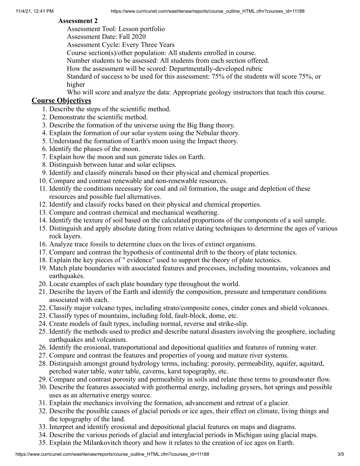### **Assessment 2**

Assessment Tool: Lesson portfolio

Assessment Date: Fall 2020

Assessment Cycle: Every Three Years

Course section(s)/other population: All students enrolled in course.

Number students to be assessed: All students from each section offered.

How the assessment will be scored: Departmentally-developed rubric

Standard of success to be used for this assessment: 75% of the students will score 75%, or higher

Who will score and analyze the data: Appropriate geology instructors that teach this course.

# **Course Objectives**

- 1. Describe the steps of the scientific method.
- 2. Demonstrate the scientific method.
- 3. Describe the formation of the universe using the Big Bang theory.
- 4. Explain the formation of our solar system using the Nebular theory.
- 5. Understand the formation of Earth's moon using the Impact theory.
- 6. Identify the phases of the moon.
- 7. Explain how the moon and sun generate tides on Earth.
- 8. Distinguish between lunar and solar eclipses.
- 9. Identify and classify minerals based on their physical and chemical properties.
- 10. Compare and contrast renewable and non-renewable resources.
- 11. Identify the conditions necessary for coal and oil formation, the usage and depletion of these resources and possible fuel alternatives.
- 12. Identify and classify rocks based on their physical and chemical properties.
- 13. Compare and contrast chemical and mechanical weathering.
- 14. Identify the texture of soil based on the calculated proportions of the components of a soil sample.
- 15. Distinguish and apply absolute dating from relative dating techniques to determine the ages of various rock layers.
- 16. Analyze trace fossils to determine clues on the lives of extinct organisms.
- 17. Compare and contrast the hypothesis of continental drift to the theory of plate tectonics.
- 18. Explain the key pieces of " evidence" used to support the theory of plate tectonics.
- 19. Match plate boundaries with associated features and processes, including mountains, volcanoes and earthquakes.
- 20. Locate examples of each plate boundary type throughout the world.
- 21. Describe the layers of the Earth and identify the composition, pressure and temperature conditions associated with each.
- 22. Classify major volcano types, including strato/composite cones, cinder cones and shield volcanoes.
- 23. Classify types of mountains, including fold, fault-block, dome, etc.
- 24. Create models of fault types, including normal, reverse and strike-slip.
- 25. Identify the methods used to predict and describe natural disasters involving the geosphere, including earthquakes and volcanism.
- 26. Identify the erosional, transportational and depositional qualities and features of running water.
- 27. Compare and contrast the features and properties of young and mature river systems.
- 28. Distinguish amongst ground hydrology terms, including: porosity, permeability, aquifer, aquitard, perched water table, water table, caverns, karst topography, etc.
- 29. Compare and contrast porosity and permeability in soils and relate these terms to groundwater flow.
- 30. Describe the features associated with geothermal energy, including geysers, hot springs and possible uses as an alternative energy source.
- 31. Explain the mechanics involving the formation, advancement and retreat of a glacier.
- 32. Describe the possible causes of glacial periods or ice ages, their effect on climate, living things and the topography of the land.
- 33. Interpret and identify erosional and depositional glacial features on maps and diagrams.
- 34. Describe the various periods of glacial and interglacial periods in Michigan using glacial maps.
- 35. Explain the Milankovitch theory and how it relates to the creation of ice ages on Earth.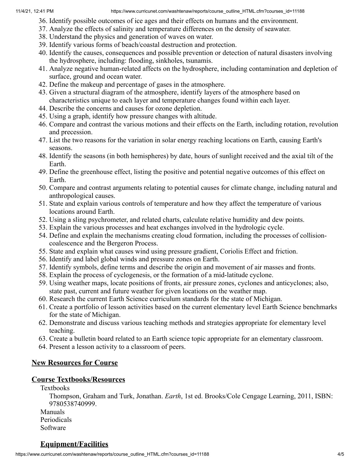- 36. Identify possible outcomes of ice ages and their effects on humans and the environment.
- 37. Analyze the effects of salinity and temperature differences on the density of seawater.
- 38. Understand the physics and generation of waves on water.
- 39. Identify various forms of beach/coastal destruction and protection.
- 40. Identify the causes, consequences and possible prevention or detection of natural disasters involving the hydrosphere, including: flooding, sinkholes, tsunamis.
- 41. Analyze negative human-related affects on the hydrosphere, including contamination and depletion of surface, ground and ocean water.
- 42. Define the makeup and percentage of gases in the atmosphere.
- 43. Given a structural diagram of the atmosphere, identify layers of the atmosphere based on characteristics unique to each layer and temperature changes found within each layer.
- 44. Describe the concerns and causes for ozone depletion.
- 45. Using a graph, identify how pressure changes with altitude.
- 46. Compare and contrast the various motions and their effects on the Earth, including rotation, revolution and precession.
- 47. List the two reasons for the variation in solar energy reaching locations on Earth, causing Earth's seasons.
- 48. Identify the seasons (in both hemispheres) by date, hours of sunlight received and the axial tilt of the Earth.
- 49. Define the greenhouse effect, listing the positive and potential negative outcomes of this effect on Earth.
- 50. Compare and contrast arguments relating to potential causes for climate change, including natural and anthropological causes.
- 51. State and explain various controls of temperature and how they affect the temperature of various locations around Earth.
- 52. Using a sling psychrometer, and related charts, calculate relative humidity and dew points.
- 53. Explain the various processes and heat exchanges involved in the hydrologic cycle.
- 54. Define and explain the mechanisms creating cloud formation, including the processes of collisioncoalescence and the Bergeron Process.
- 55. State and explain what causes wind using pressure gradient, Coriolis Effect and friction.
- 56. Identify and label global winds and pressure zones on Earth.
- 57. Identify symbols, define terms and describe the origin and movement of air masses and fronts.
- 58. Explain the process of cyclogenesis, or the formation of a mid-latitude cyclone.
- 59. Using weather maps, locate positions of fronts, air pressure zones, cyclones and anticyclones; also, state past, current and future weather for given locations on the weather map.
- 60. Research the current Earth Science curriculum standards for the state of Michigan.
- 61. Create a portfolio of lesson activities based on the current elementary level Earth Science benchmarks for the state of Michigan.
- 62. Demonstrate and discuss various teaching methods and strategies appropriate for elementary level teaching.
- 63. Create a bulletin board related to an Earth science topic appropriate for an elementary classroom.
- 64. Present a lesson activity to a classroom of peers.

# **New Resources for Course**

# **Course Textbooks/Resources**

Textbooks

Thompson, Graham and Turk, Jonathan. *Earth*, 1st ed. Brooks/Cole Cengage Learning, 2011, ISBN: 9780538740999.

Manuals Periodicals Software

# **Equipment/Facilities**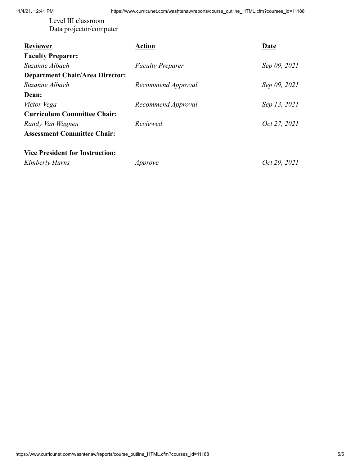Level III classroom Data projector/computer

| <b>Reviewer</b>                        | <b>Action</b>           | <b>Date</b>  |
|----------------------------------------|-------------------------|--------------|
| <b>Faculty Preparer:</b>               |                         |              |
| Suzanne Albach                         | <b>Faculty Preparer</b> | Sep 09, 2021 |
| <b>Department Chair/Area Director:</b> |                         |              |
| Suzanne Albach                         | Recommend Approval      | Sep 09, 2021 |
| Dean:                                  |                         |              |
| Victor Vega                            | Recommend Approval      | Sep 13, 2021 |
| <b>Curriculum Committee Chair:</b>     |                         |              |
| Randy Van Wagnen                       | Reviewed                | Oct 27, 2021 |
| <b>Assessment Committee Chair:</b>     |                         |              |
|                                        |                         |              |
| <b>Vice President for Instruction:</b> |                         |              |

*Kimberly Hurns Approve Oct 29, 2021*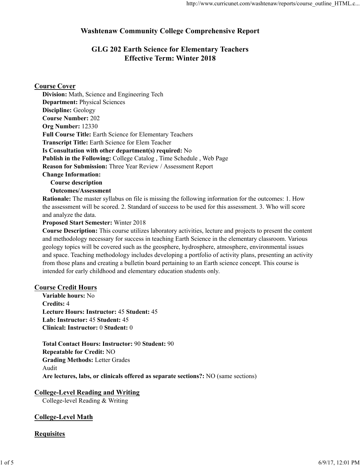# **Washtenaw Community College Comprehensive Report**

# **GLG 202 Earth Science for Elementary Teachers Effective Term: Winter 2018**

## **Course Cover**

| Division: Math, Science and Engineering Tech                              |
|---------------------------------------------------------------------------|
| <b>Department:</b> Physical Sciences                                      |
| <b>Discipline:</b> Geology                                                |
| <b>Course Number: 202</b>                                                 |
| Org Number: 12330                                                         |
| <b>Full Course Title: Earth Science for Elementary Teachers</b>           |
| <b>Transcript Title:</b> Earth Science for Elem Teacher                   |
| Is Consultation with other department(s) required: No                     |
| <b>Publish in the Following:</b> College Catalog, Time Schedule, Web Page |
| Reason for Submission: Three Year Review / Assessment Report              |
| <b>Change Information:</b>                                                |

**Course description**

**Outcomes/Assessment**

**Rationale:** The master syllabus on file is missing the following information for the outcomes: 1. How the assessment will be scored. 2. Standard of success to be used for this assessment. 3. Who will score and analyze the data.

#### **Proposed Start Semester:** Winter 2018

**Course Description:** This course utilizes laboratory activities, lecture and projects to present the content and methodology necessary for success in teaching Earth Science in the elementary classroom. Various geology topics will be covered such as the geosphere, hydrosphere, atmosphere, environmental issues and space. Teaching methodology includes developing a portfolio of activity plans, presenting an activity from those plans and creating a bulletin board pertaining to an Earth science concept. This course is intended for early childhood and elementary education students only.

## **Course Credit Hours**

**Variable hours:** No **Credits:** 4 **Lecture Hours: Instructor:** 45 **Student:** 45 **Lab: Instructor:** 45 **Student:** 45 **Clinical: Instructor:** 0 **Student:** 0

**Total Contact Hours: Instructor:** 90 **Student:** 90 **Repeatable for Credit:** NO **Grading Methods:** Letter Grades Audit **Are lectures, labs, or clinicals offered as separate sections?:** NO (same sections)

## **College-Level Reading and Writing**

College-level Reading & Writing

## **College-Level Math**

#### **Requisites**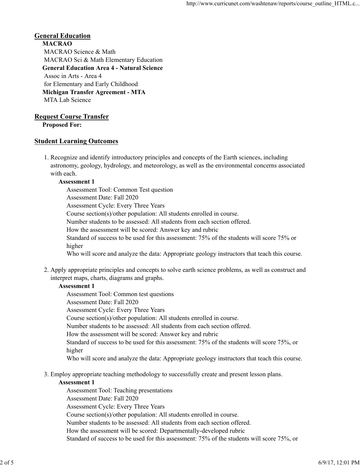## **General Education**

**MACRAO** MACRAO Science & Math MACRAO Sci & Math Elementary Education **General Education Area 4 - Natural Science** Assoc in Arts - Area 4 for Elementary and Early Childhood **Michigan Transfer Agreement - MTA** MTA Lab Science

#### **Request Course Transfer**

**Proposed For:**

### **Student Learning Outcomes**

1. Recognize and identify introductory principles and concepts of the Earth sciences, including astronomy, geology, hydrology, and meteorology, as well as the environmental concerns associated with each.

#### **Assessment 1**

Assessment Tool: Common Test question Assessment Date: Fall 2020 Assessment Cycle: Every Three Years Course section(s)/other population: All students enrolled in course. Number students to be assessed: All students from each section offered. How the assessment will be scored: Answer key and rubric Standard of success to be used for this assessment: 75% of the students will score 75% or higher Who will score and analyze the data: Appropriate geology instructors that teach this course.

2. Apply appropriate principles and concepts to solve earth science problems, as well as construct and interpret maps, charts, diagrams and graphs.

#### **Assessment 1**

Assessment Tool: Common test questions

Assessment Date: Fall 2020

Assessment Cycle: Every Three Years

Course section(s)/other population: All students enrolled in course.

Number students to be assessed: All students from each section offered.

How the assessment will be scored: Answer key and rubric

Standard of success to be used for this assessment: 75% of the students will score 75%, or higher

Who will score and analyze the data: Appropriate geology instructors that teach this course.

Employ appropriate teaching methodology to successfully create and present lesson plans. 3.

#### **Assessment 1**

Assessment Tool: Teaching presentations Assessment Date: Fall 2020 Assessment Cycle: Every Three Years Course section(s)/other population: All students enrolled in course. Number students to be assessed: All students from each section offered. How the assessment will be scored: Departmentally-developed rubric Standard of success to be used for this assessment: 75% of the students will score 75%, or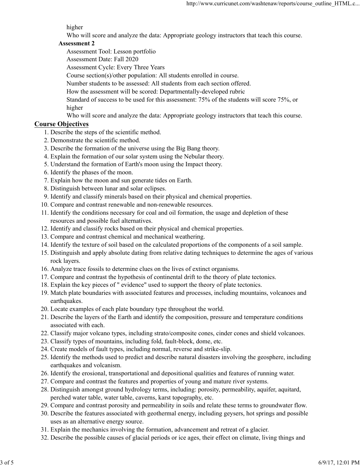#### higher

Who will score and analyze the data: Appropriate geology instructors that teach this course.

#### **Assessment 2**

Assessment Tool: Lesson portfolio

Assessment Date: Fall 2020

Assessment Cycle: Every Three Years

Course section(s)/other population: All students enrolled in course.

Number students to be assessed: All students from each section offered.

How the assessment will be scored: Departmentally-developed rubric

Standard of success to be used for this assessment: 75% of the students will score 75%, or higher

Who will score and analyze the data: Appropriate geology instructors that teach this course.

#### **Course Objectives**

- 1. Describe the steps of the scientific method.
- 2. Demonstrate the scientific method.
- 3. Describe the formation of the universe using the Big Bang theory.
- 4. Explain the formation of our solar system using the Nebular theory.
- 5. Understand the formation of Earth's moon using the Impact theory.
- 6. Identify the phases of the moon.
- 7. Explain how the moon and sun generate tides on Earth.
- 8. Distinguish between lunar and solar eclipses.
- 9. Identify and classify minerals based on their physical and chemical properties.
- 10. Compare and contrast renewable and non-renewable resources.
- Identify the conditions necessary for coal and oil formation, the usage and depletion of these 11. resources and possible fuel alternatives.
- 12. Identify and classify rocks based on their physical and chemical properties.
- 13. Compare and contrast chemical and mechanical weathering.
- 14. Identify the texture of soil based on the calculated proportions of the components of a soil sample.
- 15. Distinguish and apply absolute dating from relative dating techniques to determine the ages of various rock layers.
- 16. Analyze trace fossils to determine clues on the lives of extinct organisms.
- 17. Compare and contrast the hypothesis of continental drift to the theory of plate tectonics.
- 18. Explain the key pieces of " evidence" used to support the theory of plate tectonics.
- 19. Match plate boundaries with associated features and processes, including mountains, volcanoes and earthquakes.
- 20. Locate examples of each plate boundary type throughout the world.
- 21. Describe the layers of the Earth and identify the composition, pressure and temperature conditions associated with each.
- 22. Classify major volcano types, including strato/composite cones, cinder cones and shield volcanoes.
- 23. Classify types of mountains, including fold, fault-block, dome, etc.
- 24. Create models of fault types, including normal, reverse and strike-slip.
- 25. Identify the methods used to predict and describe natural disasters involving the geosphere, including earthquakes and volcanism.
- 26. Identify the erosional, transportational and depositional qualities and features of running water.
- 27. Compare and contrast the features and properties of young and mature river systems.
- Distinguish amongst ground hydrology terms, including: porosity, permeability, aquifer, aquitard, 28. perched water table, water table, caverns, karst topography, etc.
- 29. Compare and contrast porosity and permeability in soils and relate these terms to groundwater flow.
- Describe the features associated with geothermal energy, including geysers, hot springs and possible 30. uses as an alternative energy source.
- 31. Explain the mechanics involving the formation, advancement and retreat of a glacier.
- 32. Describe the possible causes of glacial periods or ice ages, their effect on climate, living things and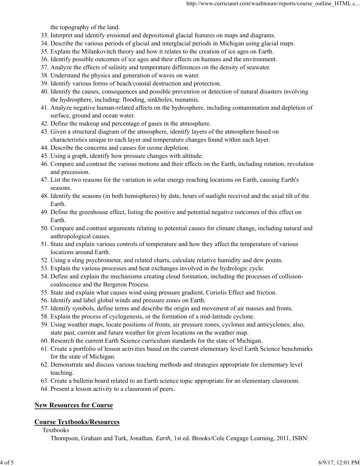the topography of the land.

- 33. Interpret and identify erosional and depositional glacial features on maps and diagrams.
- 34. Describe the various periods of glacial and interglacial periods in Michigan using glacial maps.
- 35. Explain the Milankovitch theory and how it relates to the creation of ice ages on Earth.
- 36. Identify possible outcomes of ice ages and their effects on humans and the environment.
- 37. Analyze the effects of salinity and temperature differences on the density of seawater.
- 38. Understand the physics and generation of waves on water.
- 39. Identify various forms of beach/coastal destruction and protection.
- 40. Identify the causes, consequences and possible prevention or detection of natural disasters involving the hydrosphere, including: flooding, sinkholes, tsunamis.
- Analyze negative human-related affects on the hydrosphere, including contamination and depletion of 41. surface, ground and ocean water.
- 42. Define the makeup and percentage of gases in the atmosphere.
- 43. Given a structural diagram of the atmosphere, identify layers of the atmosphere based on characteristics unique to each layer and temperature changes found within each layer.
- 44. Describe the concerns and causes for ozone depletion.
- 45. Using a graph, identify how pressure changes with altitude.
- 46. Compare and contrast the various motions and their effects on the Earth, including rotation, revolution and precession.
- 47. List the two reasons for the variation in solar energy reaching locations on Earth, causing Earth's seasons.
- 48. Identify the seasons (in both hemispheres) by date, hours of sunlight received and the axial tilt of the Earth.
- Define the greenhouse effect, listing the positive and potential negative outcomes of this effect on 49. Earth.
- 50. Compare and contrast arguments relating to potential causes for climate change, including natural and anthropological causes.
- State and explain various controls of temperature and how they affect the temperature of various 51. locations around Earth.
- 52. Using a sling psychrometer, and related charts, calculate relative humidity and dew points.
- 53. Explain the various processes and heat exchanges involved in the hydrologic cycle.
- 54. Define and explain the mechanisms creating cloud formation, including the processes of collisioncoalescence and the Bergeron Process.
- 55. State and explain what causes wind using pressure gradient, Coriolis Effect and friction.
- 56. Identify and label global winds and pressure zones on Earth.
- 57. Identify symbols, define terms and describe the origin and movement of air masses and fronts.
- 58. Explain the process of cyclogenesis, or the formation of a mid-latitude cyclone.
- Using weather maps, locate positions of fronts, air pressure zones, cyclones and anticyclones; also, 59. state past, current and future weather for given locations on the weather map.
- 60. Research the current Earth Science curriculum standards for the state of Michigan.
- 61. Create a portfolio of lesson activities based on the current elementary level Earth Science benchmarks for the state of Michigan.
- 62. Demonstrate and discuss various teaching methods and strategies appropriate for elementary level teaching.
- 63. Create a bulletin board related to an Earth science topic appropriate for an elementary classroom.
- 64. Present a lesson activity to a classroom of peers.

# **New Resources for Course**

## **Course Textbooks/Resources**

**Textbooks** 

Thompson, Graham and Turk, Jonathan. *Earth*, 1st ed. Brooks/Cole Cengage Learning, 2011, ISBN: